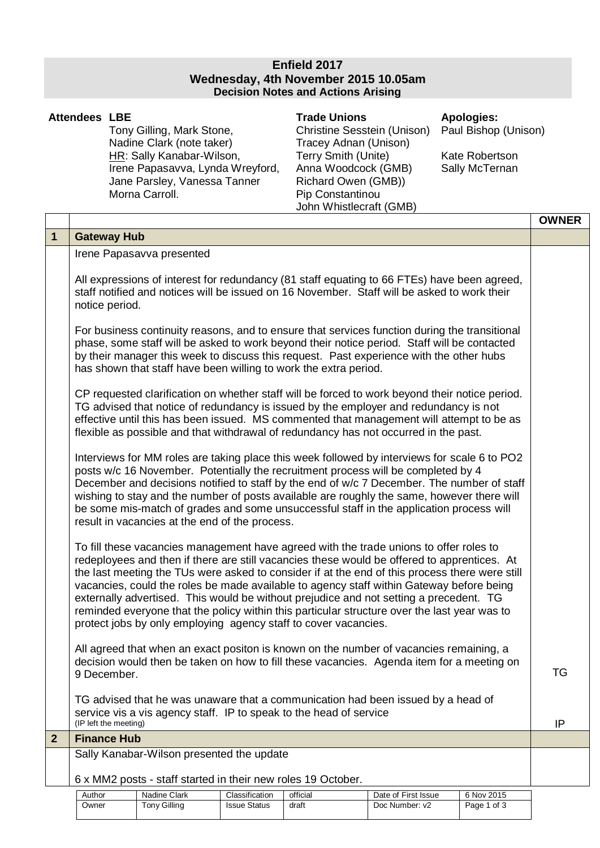## **Enfield 2017 Wednesday, 4th November 2015 10.05am Decision Notes and Actions Arising**

|                | <b>Attendees LBE</b>                                                                                                                                                                                                                                                                                                                                                                                                                                                                                                                                                                                                                             | Tony Gilling, Mark Stone,<br>Nadine Clark (note taker)<br>HR: Sally Kanabar-Wilson,<br>Irene Papasavva, Lynda Wreyford,<br>Jane Parsley, Vanessa Tanner<br>Morna Carroll.                          | <b>Trade Unions</b><br><b>Christine Sesstein (Unison)</b><br>Tracey Adnan (Unison)<br>Terry Smith (Unite)<br>Anna Woodcock (GMB)<br>Richard Owen (GMB))<br>Pip Constantinou<br>John Whistlecraft (GMB) | <b>Apologies:</b><br>Paul Bishop (Unison)<br>Kate Robertson<br>Sally McTernan |              |
|----------------|--------------------------------------------------------------------------------------------------------------------------------------------------------------------------------------------------------------------------------------------------------------------------------------------------------------------------------------------------------------------------------------------------------------------------------------------------------------------------------------------------------------------------------------------------------------------------------------------------------------------------------------------------|----------------------------------------------------------------------------------------------------------------------------------------------------------------------------------------------------|--------------------------------------------------------------------------------------------------------------------------------------------------------------------------------------------------------|-------------------------------------------------------------------------------|--------------|
|                |                                                                                                                                                                                                                                                                                                                                                                                                                                                                                                                                                                                                                                                  |                                                                                                                                                                                                    |                                                                                                                                                                                                        |                                                                               | <b>OWNER</b> |
| $\mathbf 1$    |                                                                                                                                                                                                                                                                                                                                                                                                                                                                                                                                                                                                                                                  | <b>Gateway Hub</b>                                                                                                                                                                                 |                                                                                                                                                                                                        |                                                                               |              |
|                |                                                                                                                                                                                                                                                                                                                                                                                                                                                                                                                                                                                                                                                  | Irene Papasavva presented                                                                                                                                                                          |                                                                                                                                                                                                        |                                                                               |              |
|                | All expressions of interest for redundancy (81 staff equating to 66 FTEs) have been agreed,<br>staff notified and notices will be issued on 16 November. Staff will be asked to work their<br>notice period.                                                                                                                                                                                                                                                                                                                                                                                                                                     |                                                                                                                                                                                                    |                                                                                                                                                                                                        |                                                                               |              |
|                | For business continuity reasons, and to ensure that services function during the transitional<br>phase, some staff will be asked to work beyond their notice period. Staff will be contacted<br>by their manager this week to discuss this request. Past experience with the other hubs<br>has shown that staff have been willing to work the extra period.                                                                                                                                                                                                                                                                                      |                                                                                                                                                                                                    |                                                                                                                                                                                                        |                                                                               |              |
|                | CP requested clarification on whether staff will be forced to work beyond their notice period.<br>TG advised that notice of redundancy is issued by the employer and redundancy is not<br>effective until this has been issued. MS commented that management will attempt to be as<br>flexible as possible and that withdrawal of redundancy has not occurred in the past.                                                                                                                                                                                                                                                                       |                                                                                                                                                                                                    |                                                                                                                                                                                                        |                                                                               |              |
|                | Interviews for MM roles are taking place this week followed by interviews for scale 6 to PO2<br>posts w/c 16 November. Potentially the recruitment process will be completed by 4<br>December and decisions notified to staff by the end of w/c 7 December. The number of staff<br>wishing to stay and the number of posts available are roughly the same, however there will<br>be some mis-match of grades and some unsuccessful staff in the application process will<br>result in vacancies at the end of the process.                                                                                                                       |                                                                                                                                                                                                    |                                                                                                                                                                                                        |                                                                               |              |
|                | To fill these vacancies management have agreed with the trade unions to offer roles to<br>redeployees and then if there are still vacancies these would be offered to apprentices. At<br>the last meeting the TUs were asked to consider if at the end of this process there were still<br>vacancies, could the roles be made available to agency staff within Gateway before being<br>externally advertised. This would be without prejudice and not setting a precedent. TG<br>reminded everyone that the policy within this particular structure over the last year was to<br>protect jobs by only employing agency staff to cover vacancies. |                                                                                                                                                                                                    |                                                                                                                                                                                                        |                                                                               |              |
|                |                                                                                                                                                                                                                                                                                                                                                                                                                                                                                                                                                                                                                                                  | All agreed that when an exact positon is known on the number of vacancies remaining, a<br>decision would then be taken on how to fill these vacancies. Agenda item for a meeting on<br>9 December. |                                                                                                                                                                                                        |                                                                               | TG           |
|                |                                                                                                                                                                                                                                                                                                                                                                                                                                                                                                                                                                                                                                                  | TG advised that he was unaware that a communication had been issued by a head of<br>service vis a vis agency staff. IP to speak to the head of service<br>(IP left the meeting)                    |                                                                                                                                                                                                        |                                                                               | IP           |
| $\overline{2}$ |                                                                                                                                                                                                                                                                                                                                                                                                                                                                                                                                                                                                                                                  | <b>Finance Hub</b>                                                                                                                                                                                 |                                                                                                                                                                                                        |                                                                               |              |
|                |                                                                                                                                                                                                                                                                                                                                                                                                                                                                                                                                                                                                                                                  | Sally Kanabar-Wilson presented the update                                                                                                                                                          |                                                                                                                                                                                                        |                                                                               |              |
|                |                                                                                                                                                                                                                                                                                                                                                                                                                                                                                                                                                                                                                                                  | 6 x MM2 posts - staff started in their new roles 19 October.                                                                                                                                       |                                                                                                                                                                                                        |                                                                               |              |

| Author | Nadine Clark | Classification      | official | Date of First Issue | 6 Nov 2015  |
|--------|--------------|---------------------|----------|---------------------|-------------|
| Owner  | Tony Gilling | <b>Issue Status</b> | draft    | Doc Number: v2      | Page 1 of 3 |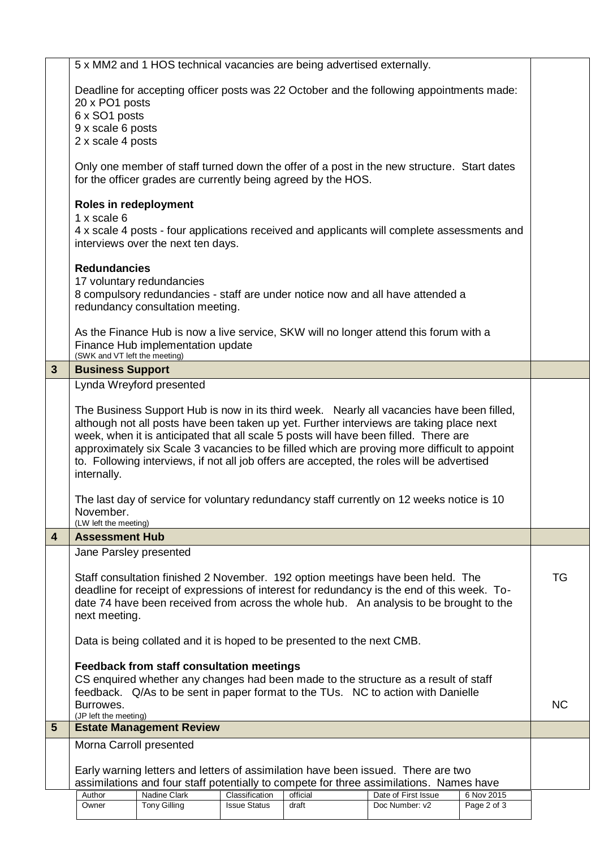|                         |                                                                                                                                                                                                                                                                                                                                                                              | 5 x MM2 and 1 HOS technical vacancies are being advertised externally. |                     |          |                                                                                             |             |           |
|-------------------------|------------------------------------------------------------------------------------------------------------------------------------------------------------------------------------------------------------------------------------------------------------------------------------------------------------------------------------------------------------------------------|------------------------------------------------------------------------|---------------------|----------|---------------------------------------------------------------------------------------------|-------------|-----------|
|                         |                                                                                                                                                                                                                                                                                                                                                                              |                                                                        |                     |          |                                                                                             |             |           |
|                         |                                                                                                                                                                                                                                                                                                                                                                              |                                                                        |                     |          | Deadline for accepting officer posts was 22 October and the following appointments made:    |             |           |
|                         | 20 x PO1 posts                                                                                                                                                                                                                                                                                                                                                               |                                                                        |                     |          |                                                                                             |             |           |
|                         | 6 x SO1 posts<br>9 x scale 6 posts                                                                                                                                                                                                                                                                                                                                           |                                                                        |                     |          |                                                                                             |             |           |
|                         | 2 x scale 4 posts                                                                                                                                                                                                                                                                                                                                                            |                                                                        |                     |          |                                                                                             |             |           |
|                         |                                                                                                                                                                                                                                                                                                                                                                              |                                                                        |                     |          |                                                                                             |             |           |
|                         |                                                                                                                                                                                                                                                                                                                                                                              | for the officer grades are currently being agreed by the HOS.          |                     |          | Only one member of staff turned down the offer of a post in the new structure. Start dates  |             |           |
|                         | Roles in redeployment                                                                                                                                                                                                                                                                                                                                                        |                                                                        |                     |          |                                                                                             |             |           |
|                         | 1 x scale 6                                                                                                                                                                                                                                                                                                                                                                  |                                                                        |                     |          |                                                                                             |             |           |
|                         |                                                                                                                                                                                                                                                                                                                                                                              |                                                                        |                     |          | 4 x scale 4 posts - four applications received and applicants will complete assessments and |             |           |
|                         |                                                                                                                                                                                                                                                                                                                                                                              | interviews over the next ten days.                                     |                     |          |                                                                                             |             |           |
|                         | <b>Redundancies</b>                                                                                                                                                                                                                                                                                                                                                          |                                                                        |                     |          |                                                                                             |             |           |
|                         |                                                                                                                                                                                                                                                                                                                                                                              | 17 voluntary redundancies                                              |                     |          |                                                                                             |             |           |
|                         |                                                                                                                                                                                                                                                                                                                                                                              |                                                                        |                     |          | 8 compulsory redundancies - staff are under notice now and all have attended a              |             |           |
|                         |                                                                                                                                                                                                                                                                                                                                                                              | redundancy consultation meeting.                                       |                     |          |                                                                                             |             |           |
|                         |                                                                                                                                                                                                                                                                                                                                                                              |                                                                        |                     |          |                                                                                             |             |           |
|                         |                                                                                                                                                                                                                                                                                                                                                                              | Finance Hub implementation update                                      |                     |          | As the Finance Hub is now a live service, SKW will no longer attend this forum with a       |             |           |
|                         | (SWK and VT left the meeting)                                                                                                                                                                                                                                                                                                                                                |                                                                        |                     |          |                                                                                             |             |           |
| 3                       | <b>Business Support</b>                                                                                                                                                                                                                                                                                                                                                      |                                                                        |                     |          |                                                                                             |             |           |
|                         |                                                                                                                                                                                                                                                                                                                                                                              | Lynda Wreyford presented                                               |                     |          |                                                                                             |             |           |
|                         |                                                                                                                                                                                                                                                                                                                                                                              |                                                                        |                     |          |                                                                                             |             |           |
|                         | The Business Support Hub is now in its third week. Nearly all vacancies have been filled,<br>although not all posts have been taken up yet. Further interviews are taking place next<br>week, when it is anticipated that all scale 5 posts will have been filled. There are<br>approximately six Scale 3 vacancies to be filled which are proving more difficult to appoint |                                                                        |                     |          |                                                                                             |             |           |
|                         |                                                                                                                                                                                                                                                                                                                                                                              |                                                                        |                     |          |                                                                                             |             |           |
|                         |                                                                                                                                                                                                                                                                                                                                                                              |                                                                        |                     |          |                                                                                             |             |           |
|                         | to. Following interviews, if not all job offers are accepted, the roles will be advertised<br>internally.                                                                                                                                                                                                                                                                    |                                                                        |                     |          |                                                                                             |             |           |
|                         |                                                                                                                                                                                                                                                                                                                                                                              |                                                                        |                     |          |                                                                                             |             |           |
|                         |                                                                                                                                                                                                                                                                                                                                                                              |                                                                        |                     |          | The last day of service for voluntary redundancy staff currently on 12 weeks notice is 10   |             |           |
|                         | November.                                                                                                                                                                                                                                                                                                                                                                    |                                                                        |                     |          |                                                                                             |             |           |
|                         | (LW left the meeting)                                                                                                                                                                                                                                                                                                                                                        |                                                                        |                     |          |                                                                                             |             |           |
| $\overline{\mathbf{4}}$ | <b>Assessment Hub</b>                                                                                                                                                                                                                                                                                                                                                        |                                                                        |                     |          |                                                                                             |             |           |
|                         | Jane Parsley presented                                                                                                                                                                                                                                                                                                                                                       |                                                                        |                     |          |                                                                                             |             |           |
|                         | Staff consultation finished 2 November. 192 option meetings have been held. The                                                                                                                                                                                                                                                                                              |                                                                        |                     |          |                                                                                             |             | TG        |
|                         | deadline for receipt of expressions of interest for redundancy is the end of this week. To-                                                                                                                                                                                                                                                                                  |                                                                        |                     |          |                                                                                             |             |           |
|                         | date 74 have been received from across the whole hub. An analysis to be brought to the                                                                                                                                                                                                                                                                                       |                                                                        |                     |          |                                                                                             |             |           |
|                         | next meeting.                                                                                                                                                                                                                                                                                                                                                                |                                                                        |                     |          |                                                                                             |             |           |
|                         |                                                                                                                                                                                                                                                                                                                                                                              |                                                                        |                     |          |                                                                                             |             |           |
|                         | Data is being collated and it is hoped to be presented to the next CMB.                                                                                                                                                                                                                                                                                                      |                                                                        |                     |          |                                                                                             |             |           |
|                         | <b>Feedback from staff consultation meetings</b>                                                                                                                                                                                                                                                                                                                             |                                                                        |                     |          |                                                                                             |             |           |
|                         | CS enquired whether any changes had been made to the structure as a result of staff                                                                                                                                                                                                                                                                                          |                                                                        |                     |          |                                                                                             |             |           |
|                         | feedback. Q/As to be sent in paper format to the TUs. NC to action with Danielle                                                                                                                                                                                                                                                                                             |                                                                        |                     |          |                                                                                             |             |           |
|                         | Burrowes.<br>(JP left the meeting)                                                                                                                                                                                                                                                                                                                                           |                                                                        |                     |          |                                                                                             |             | <b>NC</b> |
| $5\phantom{1}$          |                                                                                                                                                                                                                                                                                                                                                                              | <b>Estate Management Review</b>                                        |                     |          |                                                                                             |             |           |
|                         | Morna Carroll presented                                                                                                                                                                                                                                                                                                                                                      |                                                                        |                     |          |                                                                                             |             |           |
|                         |                                                                                                                                                                                                                                                                                                                                                                              |                                                                        |                     |          |                                                                                             |             |           |
|                         | Early warning letters and letters of assimilation have been issued. There are two<br>assimilations and four staff potentially to compete for three assimilations. Names have                                                                                                                                                                                                 |                                                                        |                     |          |                                                                                             |             |           |
|                         | Author                                                                                                                                                                                                                                                                                                                                                                       | Nadine Clark                                                           | Classification      | official | Date of First Issue                                                                         | 6 Nov 2015  |           |
|                         | Owner                                                                                                                                                                                                                                                                                                                                                                        | <b>Tony Gilling</b>                                                    | <b>Issue Status</b> | draft    | Doc Number: v2                                                                              | Page 2 of 3 |           |